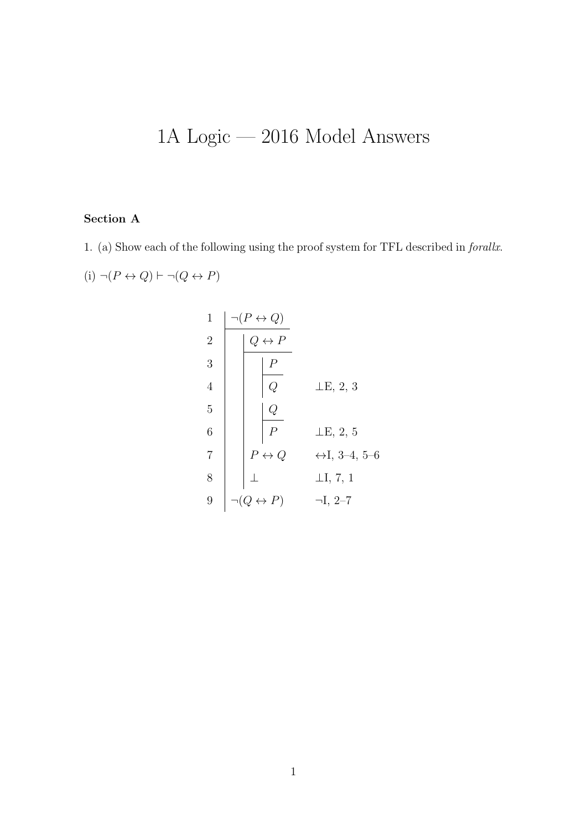## 1A Logic — 2016 Model Answers

## Section A

1. (a) Show each of the following using the proof system for TFL described in forallx. (i)  $\neg (P \leftrightarrow Q) \vdash \neg (Q \leftrightarrow P)$ 

| $\mathbf{1}$     | י $(P \leftrightarrow Q)$ |                               |
|------------------|---------------------------|-------------------------------|
| $\overline{2}$   | $Q \leftrightarrow P$     |                               |
| 3                |                           |                               |
| $\overline{4}$   | Q                         | $\perp E$ , 2, 3              |
| $\overline{5}$   | $\,Q\,$                   |                               |
| $\boldsymbol{6}$ | $\overline{P}$            | $\perp E$ , 2, 5              |
| $\overline{7}$   | $P \leftrightarrow Q$     | $\leftrightarrow$ I, 3–4, 5–6 |
| 8                |                           | $\perp$ I, 7, 1               |
| 9                | $Q \leftrightarrow P$     | $\neg I, 2\neg T$             |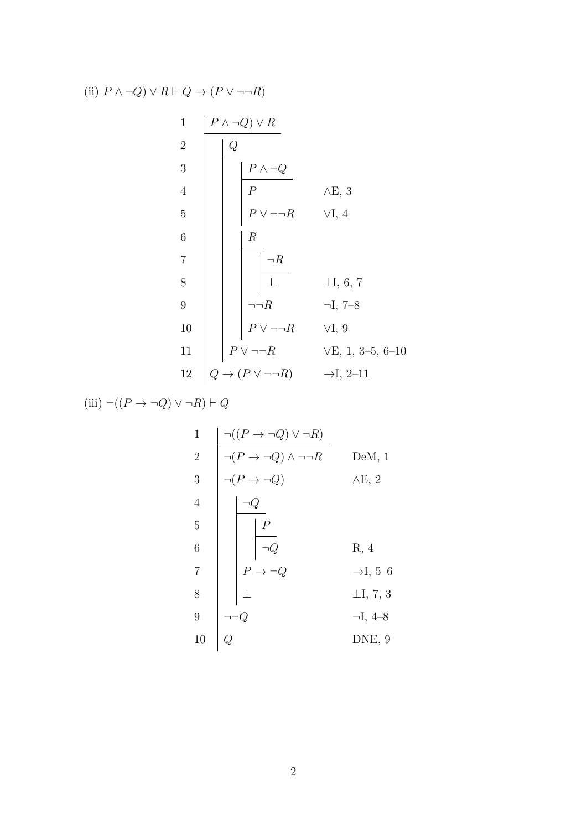(ii) 
$$
P \land \neg Q \lor R \vdash Q \rightarrow (P \lor \neg \neg R)
$$

1 
$$
P \wedge \neg Q
$$
  $\vee R$   
\n2  $Q$   
\n3  $P \wedge \neg Q$   
\n4  $P$   
\n6  $P \vee \neg \neg R$   $\vee I, 4$   
\n7  $8$   
\n8  $10$   
\n11  $P \vee \neg \neg R$   
\n12  $Q \rightarrow (P \vee \neg \neg R)$   $\vee F, 1, 3-5, 6-10$   
\n13  $Q \rightarrow (P \vee \neg \neg R)$   $\neg I, 7-8$   
\n14  $Q \rightarrow (P \vee \neg \neg R)$   $\neg I, 2-11$   
\n15  $Q \rightarrow (P \vee \neg \neg R)$   $\neg I, 2-11$ 

(iii) 
$$
\neg((P \rightarrow \neg Q) \lor \neg R) \vdash Q
$$

1  
\n
$$
\begin{array}{c|c}\n1 & \neg((P \rightarrow \neg Q) \lor \neg R) \\
2 & \neg(P \rightarrow \neg Q) \land \neg \neg R \\
3 & \neg(P \rightarrow \neg Q) \\
4 & \neg Q \\
5 & \neg Q \\
6 & \neg Q \\
7 & \neg Q \\
8 & \perp \\
10 & Q\n\end{array}
$$
\n10  
\n11  
\n12  
\n13  
\n14  
\n15  
\n16  
\n17  
\n18  
\n19  
\n10  
\n11  
\n12  
\n13  
\n14  
\n15  
\n16  
\n17  
\n18  
\n19  
\n10  
\n11  
\n12  
\n13  
\n14  
\n15  
\n16  
\n17  
\n18  
\n19  
\n10  
\n11  
\n12  
\n13  
\n14  
\n15  
\n16  
\n17  
\n18  
\n19  
\n10  
\n11  
\n12  
\n13  
\n14  
\n15  
\n16  
\n17  
\n18  
\n19  
\n10  
\n11  
\n12  
\n13  
\n14  
\n15  
\n16  
\n17  
\n18  
\n19  
\n10  
\n11  
\n12  
\n13  
\n14  
\n15  
\n16  
\n17  
\n18  
\n19  
\n10  
\n11  
\n12  
\n13  
\n14  
\n15  
\n16  
\n17  
\n18  
\n19  
\n10  
\n11  
\n12  
\n13  
\n14  
\n15  
\n16  
\n17  
\n18  
\n19  
\n10  
\n11  
\n12  
\n13  
\n14  
\n15  
\n16  
\n17  
\n18  
\n19  
\n10  
\n11  
\n12  
\n13  
\n14  
\n15  
\n16  
\n17  
\n18  
\n19  
\n10  
\n11  
\n12  
\n13  
\n14  
\n15  
\n16  
\n17  
\n18  
\n19  
\n10  
\n11  
\n12  
\n13  
\n14  
\n15  
\n16  
\n17  
\n18  
\n19  
\n10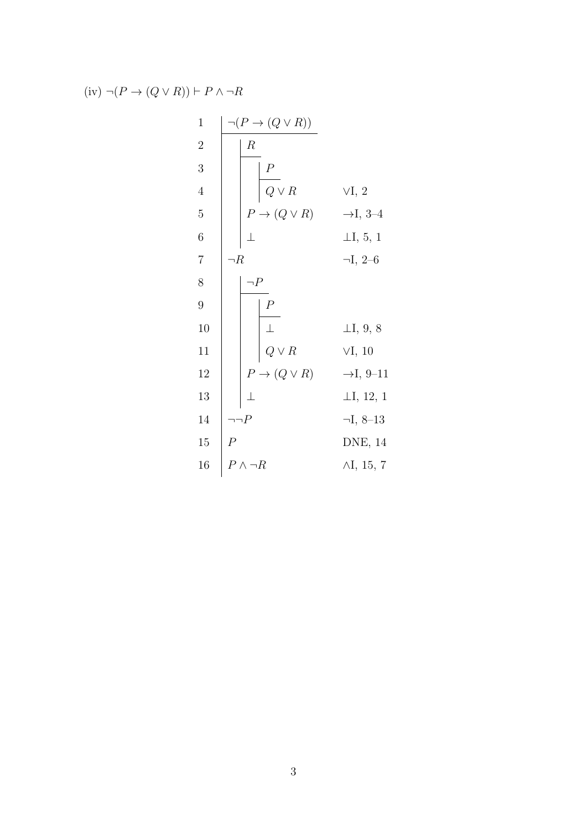$$
(iv) \neg (P \rightarrow (Q \lor R)) \vdash P \land \neg R
$$

1  
\n
$$
\begin{array}{c|c}\n1 & \neg(P \to (Q \lor R)) \\
2 & R \\
4 & Q \lor R \\
6 & \perp\n\end{array}
$$
\n4  
\n6  
\n7  
\n8  
\n9  
\n10  
\n11  
\n12  
\n13  
\n14  
\n15  
\n16  
\n17  
\n18  
\n19  
\n10  
\n11  
\n12  
\n13  
\n14  
\n15  
\n16  
\n17  
\n18  
\n19  
\n10  
\n11  
\n12  
\n13  
\n14  
\n15  
\n16  
\n17  
\n18  
\n19  
\n10  
\n11  
\n12  
\n13  
\n14  
\n15  
\n16  
\n17  
\n18  
\n19  
\n10  
\n11  
\n12  
\n13  
\n14  
\n15  
\n16  
\n17  
\n18  
\n19  
\n10  
\n11  
\n12  
\n13  
\n14  
\n15  
\n16  
\n17  
\n18  
\n19  
\n10  
\n11  
\n11  
\n12  
\n13  
\n14  
\n15  
\n16  
\n17  
\n18  
\n19  
\n19  
\n10  
\n11  
\n12  
\n13  
\n14  
\n15  
\n16  
\n17  
\n18  
\n19  
\n19  
\n10  
\n11  
\n12  
\n13  
\n15  
\n16  
\n17  
\n18  
\n19  
\n19  
\n10  
\n11  
\n12  
\n13  
\n14  
\n15  
\n16  
\n17  
\n18  
\n19  
\n19  
\n10  
\n11  
\n12  
\n13  
\n14  
\n15  
\n16  
\n17  
\n18  
\n19  
\n19  
\n10  
\n11  
\n12  
\n13  
\n14  
\n15  
\n16  
\n17  
\n18  
\n19  
\n19  
\n10  
\n11  
\n12  
\n13  
\n14  
\n15  
\n16  
\n17  
\n18  
\n19  
\n10  
\n11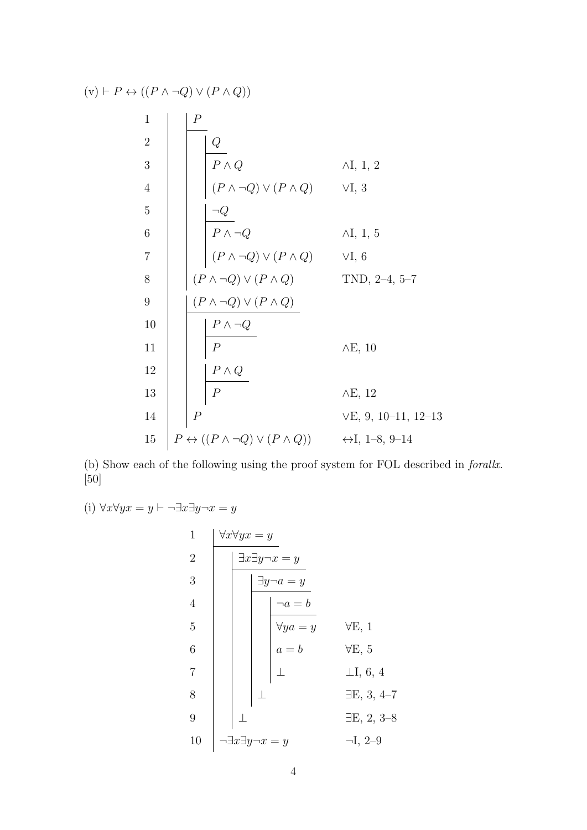$(v) \vdash P \leftrightarrow ((P \land \neg Q) \lor (P \land Q))$ 

1  
\n2  
\n3  
\n4  
\n5  
\n6  
\n6  
\n7  
\n8  
\n10  
\n
$$
P \wedge Q
$$
  
\n $P \wedge Q$   
\n $P \wedge \neg Q$   
\n $P \wedge \neg Q$   
\n $P \wedge \neg Q$   
\n $P \wedge \neg Q$   
\n $P \wedge \neg Q$   
\n $P \wedge \neg Q$   
\n $P \wedge \neg Q$   
\n $P \wedge \neg Q$   
\n $P \wedge \neg Q$   
\n $P \wedge \neg Q$   
\n $P \wedge \neg Q$   
\n $P \wedge \neg Q$   
\n $P \wedge \neg Q$   
\n $P \wedge \neg Q$   
\n $P \wedge \neg Q$   
\n $P \wedge \neg Q$   
\n $P \wedge \neg Q$   
\n $P \wedge \neg Q$   
\n $P \wedge \neg Q$   
\n $P \wedge Q$   
\n $P \wedge \neg Q$   
\n $P \wedge \neg Q$   
\n $P \wedge \neg Q$   
\n $P \wedge \neg Q$   
\n $P \wedge \neg Q$   
\n $P \wedge \neg Q$   
\n $P \wedge \neg Q$   
\n $P \wedge \neg Q$   
\n $P \wedge \neg Q$   
\n $P \wedge \neg Q$   
\n $P \wedge \neg Q$   
\n $P \wedge \neg Q$   
\n $P \wedge \neg Q$   
\n $P \wedge \neg Q$   
\n $P \wedge \neg Q$   
\n $P \wedge \neg Q$   
\n $P \wedge \neg Q$   
\n $P \wedge \neg Q$   
\n $P \wedge \neg Q$   
\n $P \wedge \neg Q$   
\n $P \wedge \neg Q$   
\n $P \wedge \neg Q$   
\n $P \wedge \neg Q$   
\n $P \wedge \neg Q$   
\n $P \wedge \neg Q$   
\n $P \wedge \neg Q$   
\n $P \wedge \neg Q$ 

(b) Show each of the following using the proof system for FOL described in forallx.  $\left[50\right]$ 

(i) 
$$
\forall x \forall y x = y \vdash \neg \exists x \exists y \neg x = y
$$

1  
\n
$$
\sqrt{x}\sqrt[3]{yx} = y
$$
\n3  
\n4  
\n5  
\n6  
\n7  
\n8  
\n1  
\n
$$
\frac{1}{3}y\sqrt{a} = y
$$
\n
$$
\frac{1}{3}y\sqrt{a} = y
$$
\n
$$
\frac{1}{3}y\sqrt{a} = y
$$
\n
$$
\frac{1}{3}y\sqrt{a} = y
$$
\n
$$
\frac{1}{3}y\sqrt{a} = y
$$
\n
$$
\frac{1}{3}y\sqrt{a} = y
$$
\n
$$
\frac{1}{3}y\sqrt{a} = 1
$$
\n
$$
\frac{1}{3}y\sqrt{a} = 1
$$
\n
$$
\frac{1}{3}y\sqrt{a} = 1
$$
\n
$$
\frac{1}{3}y\sqrt{a} = 1
$$
\n
$$
\frac{1}{3}y\sqrt{a} = 1
$$
\n
$$
\frac{1}{3}y\sqrt{a} = 1
$$
\n
$$
\frac{1}{3}y\sqrt{a} = 1
$$
\n
$$
\frac{1}{3}y\sqrt{a} = 1
$$
\n
$$
\frac{1}{3}y\sqrt{a} = 1
$$
\n
$$
\frac{1}{3}y\sqrt{a} = 1
$$
\n
$$
\frac{1}{3}y\sqrt{a} = 1
$$
\n
$$
\frac{1}{3}y\sqrt{a} = 1
$$
\n
$$
\frac{1}{3}y\sqrt{a} = 1
$$
\n
$$
\frac{1}{3}y\sqrt{a} = 1
$$
\n
$$
\frac{1}{3}y\sqrt{a} = 1
$$
\n
$$
\frac{1}{3}y\sqrt{a} = 1
$$
\n
$$
\frac{1}{3}y\sqrt{a} = 1
$$
\n
$$
\frac{1}{3}y\sqrt{a} = 1
$$
\n
$$
\frac{1}{3}y\sqrt{a} = 1
$$
\n
$$
\frac{1}{3}y\sqrt{a} = 1
$$
\n
$$
\frac{1}{3}y\sqrt{a} = 1
$$
\n
$$
\frac{1}{3}y\sqrt{a} = 1
$$
\n
$$
\frac{1}{3}y\sqrt{a}
$$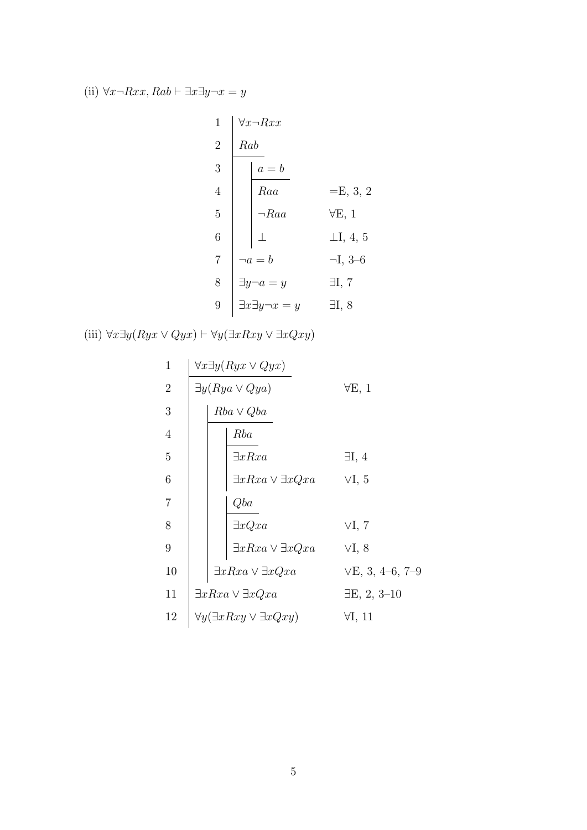(ii)  $\forall x \neg Rxx, Rab \vdash \exists x \exists y \neg x = y$ 

| 1              | $\forall x \neg Rxx$             |                   |
|----------------|----------------------------------|-------------------|
| $\overline{2}$ | Rab                              |                   |
| 3              | $a = b$                          |                   |
| $\overline{4}$ | Raa                              | $=E, 3, 2$        |
| 5              | $\cdot R$ י $\cdot$              | $\forall E, \, 1$ |
| 6              |                                  | $\perp$ I, 4, 5   |
| 7              | ה $a=b$                          | $\neg$ I, 3–6     |
| 8              | $\exists y \neg a = y$           | $\exists I, 7$    |
| 9              | $\exists x \exists y \neg x = y$ | $\exists I, 8$    |
|                |                                  |                   |

(iii)  $\forall x \exists y (Ryx \lor Qyx) \vdash \forall y (\exists x Rxy \lor \exists x Qxy)$ 

| $\mathbf{1}$     | $\forall x \exists y (Ryx \vee Qyx)$         |                      |
|------------------|----------------------------------------------|----------------------|
| $\overline{2}$   | $\exists y (Rya \vee Qya)$                   | $\forall E, 1$       |
| 3                | $Rba \vee Qba$                               |                      |
| $\overline{4}$   | Rba                                          |                      |
| 5                | $\exists x R x a$                            | $\exists I, 4$       |
| 6                | $\exists x Rxa \vee \exists xQxa$            | VI, 5                |
| $\overline{7}$   | Qba                                          |                      |
| 8                | $\exists x Q x a$                            | VI, 7                |
| $\boldsymbol{9}$ | $\exists x Rxa \vee \exists xQxa$            | VI, 8                |
| 10               | $\exists x R x a \lor \exists x Q x a$       | VE, 3, 4–6, 7–9      |
| 11               | $\exists x Rxa \vee \exists xQxa$            | $\exists E, 2, 3-10$ |
| 12               | $\forall y(\exists x Rxy \vee \exists xQxy)$ | $\forall I, 11$      |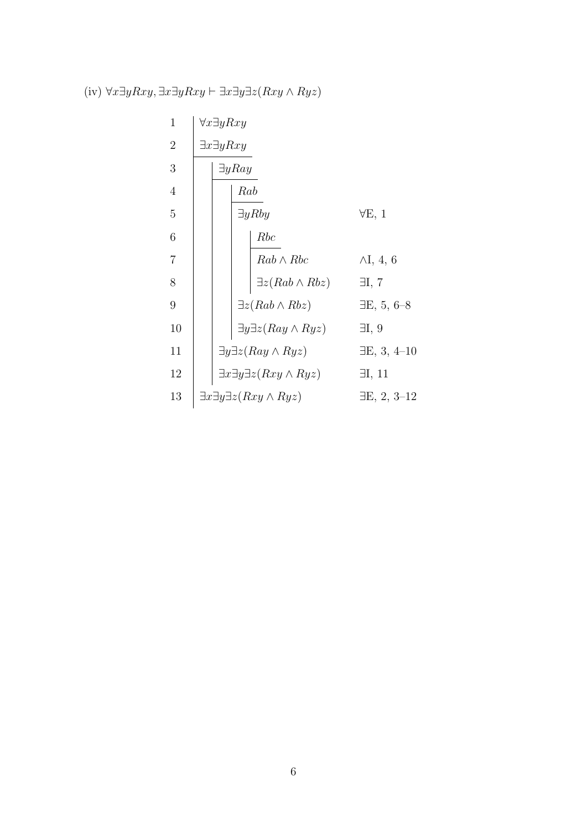(iv)  $\forall x \exists y Rxy, \exists x \exists y Rxy \vdash \exists x \exists y \exists z (Rxy \land Ryz)$ 

| 1                | $\forall x \exists y Rxy$                        |                                                |
|------------------|--------------------------------------------------|------------------------------------------------|
| $\overline{2}$   | $\exists x \exists y Rxy$                        |                                                |
| 3                | $\exists y Ray$                                  |                                                |
| $\overline{4}$   | Rab                                              |                                                |
| $\overline{5}$   | $\exists y Rby$                                  | $\forall E, 1$                                 |
| $\boldsymbol{6}$ | Rbc                                              |                                                |
| 7                | $Rab\wedge Rbc$                                  | $\wedge I$ , 4, 6                              |
| 8                | $\exists z (Rab \wedge Rbz)$                     | $\exists I, 7$                                 |
| 9                | $\exists z (Rab \wedge Rbz)$                     | $\exists E, 5, 6-8$                            |
| 10               | $\exists y \exists z (Ray \wedge Ryz)$           | $\exists I, 9$                                 |
| 11               | $\exists y \exists z (Ray \wedge Ryz)$           | $\exists E, 3, 4-10$                           |
| 12               | $\exists x \exists y \exists z (Rxy \wedge Ryz)$ | $\exists I, 11$                                |
| 13               | $\exists x \exists y \exists z (Rxy \wedge Ryz)$ | $\exists E, 2, 3\negthinspace-\negthinspace12$ |
|                  |                                                  |                                                |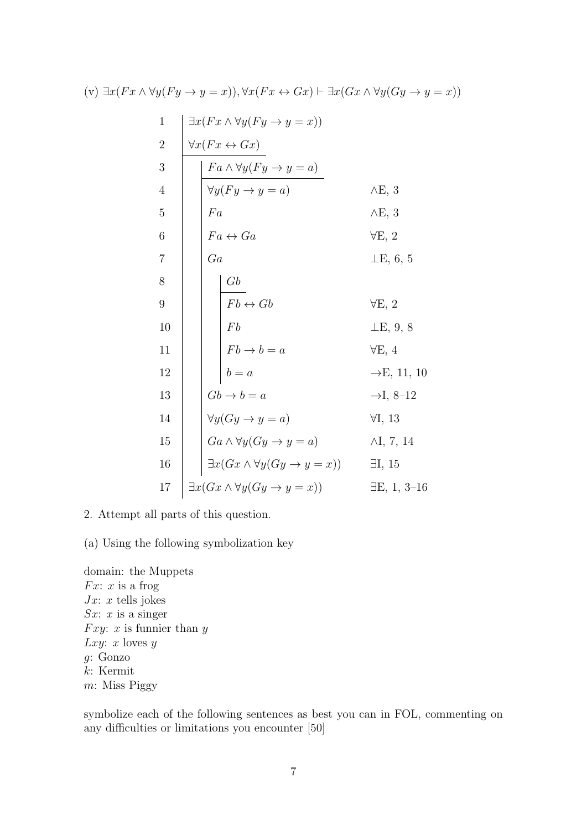1 ∃x(F x ∧ ∀y(F y → y = x)) 2 ∀x(F x ↔ Gx) 3 F a ∧ ∀y(F y → y = a) 4 ∀y(F y → y = a) ∧E, 3 5 F a ∧E, 3 6 F a ↔ Ga ∀E, 2 7 Ga ⊥E, 6, 5 8 Gb 9 F b ↔ Gb ∀E, 2 10 F b ⊥E, 9, 8 11 F b → b = a ∀E, 4 12 b = a →E, 11, 10 13 Gb → b = a →I, 8–12 14 ∀y(Gy → y = a) ∀I, 13 15 Ga ∧ ∀y(Gy → y = a) ∧I, 7, 14 16 ∃x(Gx ∧ ∀y(Gy → y = x)) ∃I, 15 17 ∃x(Gx ∧ ∀y(Gy → y = x)) ∃E, 1, 3–16

(v)  $\exists x(Fx \land \forall y(Fy \to y=x)), \forall x(Fx \leftrightarrow Gx) \vdash \exists x(Gx \land \forall y(Gy \to y=x))$ 

2. Attempt all parts of this question.

(a) Using the following symbolization key

domain: the Muppets  $Fx: x$  is a frog  $Jx$ : x tells jokes  $Sx: x$  is a singer Fxy: x is funnier than  $y$ Lxy: x loves  $y$ g: Gonzo k: Kermit m: Miss Piggy

symbolize each of the following sentences as best you can in FOL, commenting on any difficulties or limitations you encounter [50]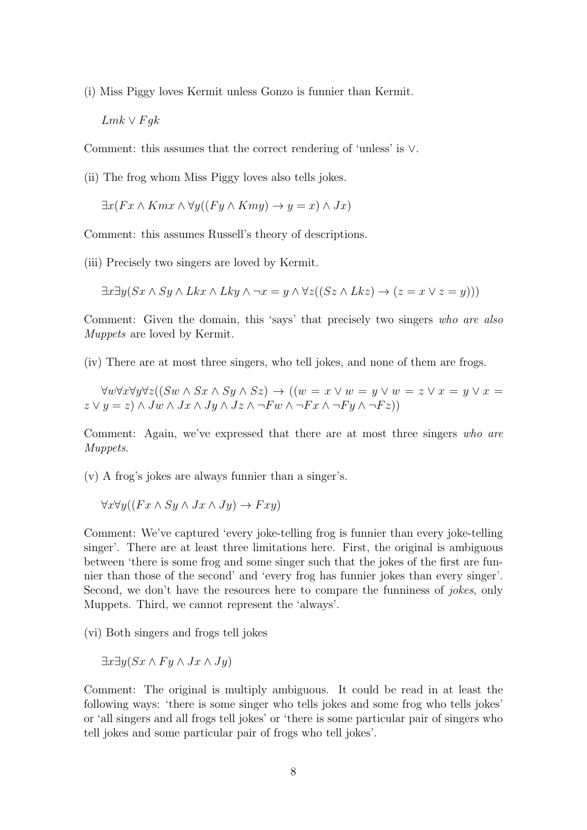(i) Miss Piggy loves Kermit unless Gonzo is funnier than Kermit.

 $Lmk \vee Fqk$ 

Comment: this assumes that the correct rendering of 'unless' is ∨.

(ii) The frog whom Miss Piggy loves also tells jokes.

 $\exists x (Fx \wedge Kmx \wedge \forall y ((Fy \wedge Kmy) \rightarrow y = x) \wedge Jx)$ 

Comment: this assumes Russell's theory of descriptions.

(iii) Precisely two singers are loved by Kermit.

 $\exists x \exists y (Sx \land Sy \land Lkx \land Lky \land \neg x = y \land \forall z ((Sz \land Lkz) \rightarrow (z = x \lor z = y)))$ 

Comment: Given the domain, this 'says' that precisely two singers who are also Muppets are loved by Kermit.

(iv) There are at most three singers, who tell jokes, and none of them are frogs.

 $\forall w \forall x \forall y \forall z ((Sw \land Sx \land Sy \land Sz) \rightarrow ((w = x \lor w = y \lor w = z \lor x = y \lor x = y \lor x = z)))$  $z \vee y = z) \wedge Jw \wedge Jx \wedge Jy \wedge Jz \wedge \neg Fw \wedge \neg Fx \wedge \neg Fy \wedge \neg Fz)$ 

Comment: Again, we've expressed that there are at most three singers who are Muppets.

(v) A frog's jokes are always funnier than a singer's.

$$
\forall x \forall y ((Fx \land Sy \land Jx \land Jy) \to Fxy)
$$

Comment: We've captured 'every joke-telling frog is funnier than every joke-telling singer'. There are at least three limitations here. First, the original is ambiguous between 'there is some frog and some singer such that the jokes of the first are funnier than those of the second' and 'every frog has funnier jokes than every singer'. Second, we don't have the resources here to compare the funniness of *jokes*, only Muppets. Third, we cannot represent the 'always'.

(vi) Both singers and frogs tell jokes

$$
\exists x \exists y (Sx \land Fy \land Jx \land Jy)
$$

Comment: The original is multiply ambiguous. It could be read in at least the following ways: 'there is some singer who tells jokes and some frog who tells jokes' or 'all singers and all frogs tell jokes' or 'there is some particular pair of singers who tell jokes and some particular pair of frogs who tell jokes'.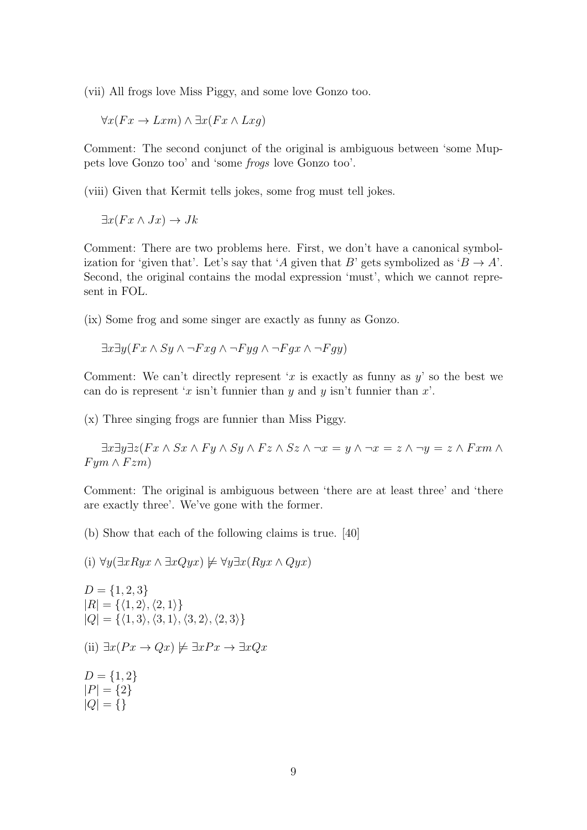(vii) All frogs love Miss Piggy, and some love Gonzo too.

 $\forall x (Fx \rightarrow Lxm) \land \exists x (Fx \land Lxq)$ 

Comment: The second conjunct of the original is ambiguous between 'some Muppets love Gonzo too' and 'some frogs love Gonzo too'.

(viii) Given that Kermit tells jokes, some frog must tell jokes.

 $\exists x (Fx \wedge Jx) \rightarrow Jk$ 

Comment: There are two problems here. First, we don't have a canonical symbolization for 'given that'. Let's say that 'A given that B' gets symbolized as ' $B \to A$ '. Second, the original contains the modal expression 'must', which we cannot represent in FOL.

(ix) Some frog and some singer are exactly as funny as Gonzo.

 $\exists x \exists y (Fx \wedge Sy \wedge \neg Fxq \wedge \neg Fyq \wedge \neg Fqx \wedge \neg Fqy)$ 

Comment: We can't directly represent 'x is exactly as funny as  $y'$  so the best we can do is represent 'x isn't funnier than y and y isn't funnier than  $x'$ .

(x) Three singing frogs are funnier than Miss Piggy.

 $\exists x \exists y \exists z (Fx \wedge Sx \wedge Fy \wedge Sy \wedge Fz \wedge Sz \wedge \neg x = y \wedge \neg x = z \wedge \neg y = z \wedge Fxm \wedge y$  $F \mathit{ym} \wedge F \mathit{zm}$ 

Comment: The original is ambiguous between 'there are at least three' and 'there are exactly three'. We've gone with the former.

(b) Show that each of the following claims is true. [40]

(i)  $\forall y(\exists x Ryx \land \exists x Qyx) \not\models \forall y \exists x (Ryx \land Qyx)$ 

 $D = \{1, 2, 3\}$  $|R| = {\langle 1, 2 \rangle, \langle 2, 1 \rangle}$  $|Q| = {\langle 1, 3 \rangle, \langle 3, 1 \rangle, \langle 3, 2 \rangle, \langle 2, 3 \rangle}$ (ii)  $\exists x (Px \rightarrow Qx) \not\models \exists x Px \rightarrow \exists x Qx$  $D = \{1, 2\}$  $|P| = \{2\}$  $|Q| = \{\}$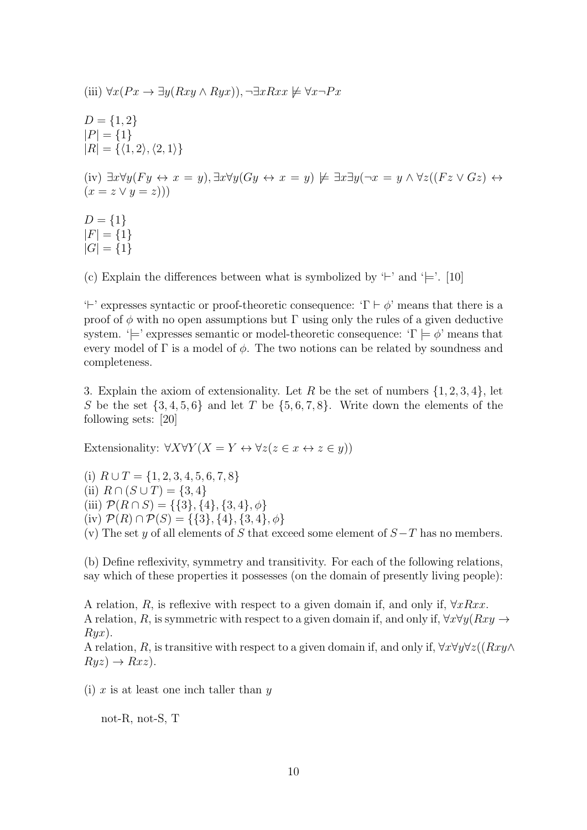(iii) 
$$
\forall x (Px \rightarrow \exists y (Rxy \land Ryx)), \neg \exists x Rxx \not\models \forall x \neg Px
$$
  
\n $D = \{1, 2\}$   
\n $|P| = \{1\}$   
\n $|R| = \{\langle 1, 2 \rangle, \langle 2, 1 \rangle\}$   
\n(iv)  $\exists x \forall y (Fy \leftrightarrow x = y), \exists x \forall y (Gy \leftrightarrow x = y) \not\models \exists x \exists y (\neg x = y \land \forall z ((Fz \lor Gz) \leftrightarrow (x = z \lor y = z)))$   
\n $D = \{1\}$   
\n $|F| = \{1\}$   
\n $|G| = \{1\}$ 

(c) Explain the differences between what is symbolized by  $\vdash$  and  $\vdash$ . [10]

'<sup> $\vdash$ </sup>' expresses syntactic or proof-theoretic consequence: 'Γ  $\vdash \phi$ ' means that there is a proof of  $\phi$  with no open assumptions but  $\Gamma$  using only the rules of a given deductive system. ' $\models$ ' expresses semantic or model-theoretic consequence: ' $\Gamma \models \phi$ ' means that every model of  $\Gamma$  is a model of  $\phi$ . The two notions can be related by soundness and completeness.

3. Explain the axiom of extensionality. Let R be the set of numbers  $\{1, 2, 3, 4\}$ , let S be the set  $\{3, 4, 5, 6\}$  and let T be  $\{5, 6, 7, 8\}$ . Write down the elements of the following sets: [20]

Extensionality:  $\forall X \forall Y (X = Y \leftrightarrow \forall z (z \in x \leftrightarrow z \in y))$ 

(i)  $R \cup T = \{1, 2, 3, 4, 5, 6, 7, 8\}$ (ii)  $R \cap (S \cup T) = \{3, 4\}$ (iii)  $\mathcal{P}(R \cap S) = \{\{3\}, \{4\}, \{3, 4\}, \phi\}$ (iv)  $\mathcal{P}(R) \cap \mathcal{P}(S) = \{\{3\}, \{4\}, \{3, 4\}, \phi\}$ (v) The set y of all elements of S that exceed some element of  $S-T$  has no members.

(b) Define reflexivity, symmetry and transitivity. For each of the following relations, say which of these properties it possesses (on the domain of presently living people):

A relation, R, is reflexive with respect to a given domain if, and only if,  $\forall x R x x$ . A relation, R, is symmetric with respect to a given domain if, and only if,  $\forall x \forall y (Rxy \rightarrow$  $Ryx$ ).

A relation, R, is transitive with respect to a given domain if, and only if,  $\forall x \forall y \forall z ((Rxy \land Rxy))$  $Ryz$   $\rightarrow Rxz$ .

(i) x is at least one inch taller than  $y$ 

not-R, not-S, T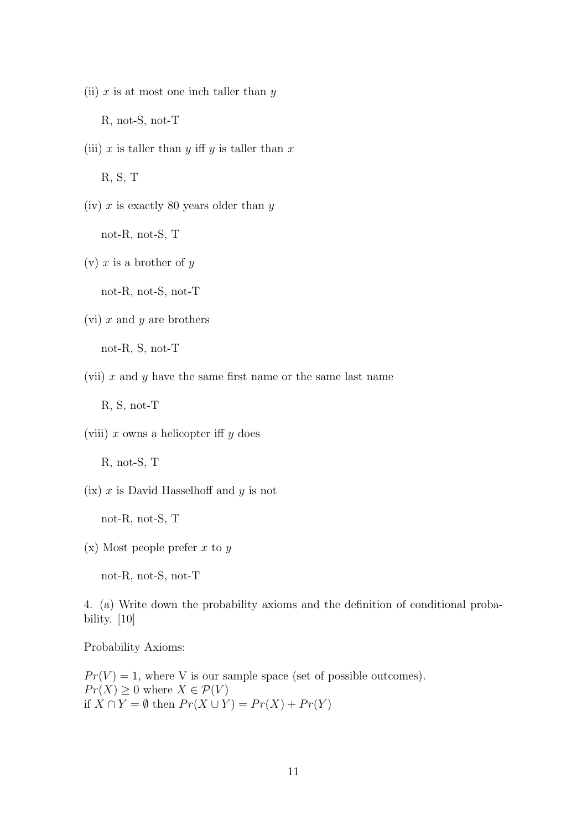(ii)  $x$  is at most one inch taller than  $y$ 

R, not-S, not-T

(iii) x is taller than y iff y is taller than x

R, S, T

 $(iv)$  x is exactly 80 years older than y not-R, not-S, T

(v) x is a brother of  $y$ 

not-R, not-S, not-T

(vi)  $x$  and  $y$  are brothers

not-R, S, not-T

(vii)  $x$  and  $y$  have the same first name or the same last name

R, S, not-T

(viii)  $x$  owns a helicopter iff  $y$  does

R, not-S, T

 $(ix)$  x is David Hasselhoff and y is not

not-R, not-S, T

 $(x)$  Most people prefer x to y

not-R, not-S, not-T

4. (a) Write down the probability axioms and the definition of conditional probability. [10]

Probability Axioms:

 $Pr(V) = 1$ , where V is our sample space (set of possible outcomes).  $Pr(X) \geq 0$  where  $X \in \mathcal{P}(V)$ if  $X ∩ Y = ∅$  then  $Pr(X ∪ Y) = Pr(X) + Pr(Y)$